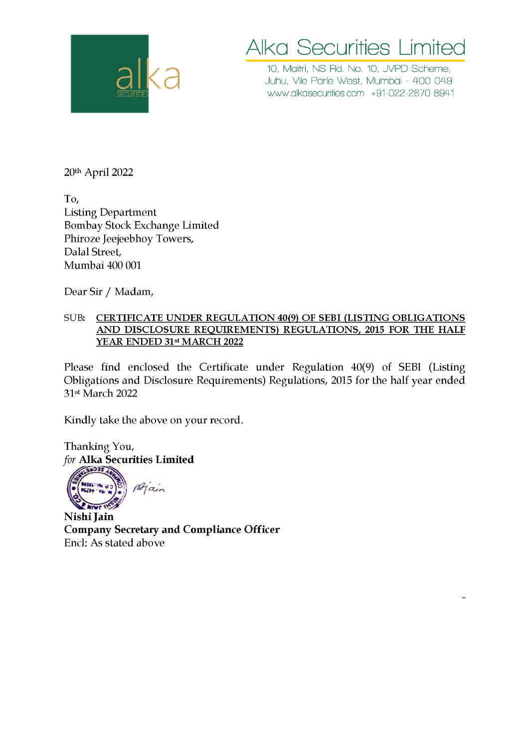

## Alka Securities Limited Alka Secur

10, Maitri, NS Rd. No. 10, JVPD Scheme, Juhu, Vile Parle West, Mumbai - 400 049 www.alkasecurities.com +91-022-2670 8941

20th April 2022

To, Listing Department Bombay Stock Exchange Limited Phiroze Jeejeebhoy Towers, Dalal Street, Mumbai 400 001 | Department<br>| y Stock Exchange Limited<br>| e Jeejeebhoy Towers,<br>| street,<br>| ai 400 001<br>| ir / Madam,<br>| <u>CERTIFICATE UNDER REGUL.<br>| AND DISCLOSURE REQUIREN<br>| YEAR ENDED 31st MARCH 2022</u>

Dear Sir / Madam,

## SUB: CERTIFICATE UNDER REGULATION 40(9) OF SEBI (LISTING OBLIGATIONS AND DISCLOSURE REQUIREMENTS) REGULATIONS, 2015 FOR THE HALF YEAR ENDED 31st MARCH 2022

Please find enclosed the Certificate under Regulation 40(9) of SEBI (Listing Obligations and Disclosure Requirements) Regulations, 2015 for the half year ended 31st March 2022

Kindly take the above on your record.

Thanking You, for Alka Securities Limited

Main **2 NIVE INST** 

Nishi Jain Company Secretary and Compliance Officer Encl: As stated above